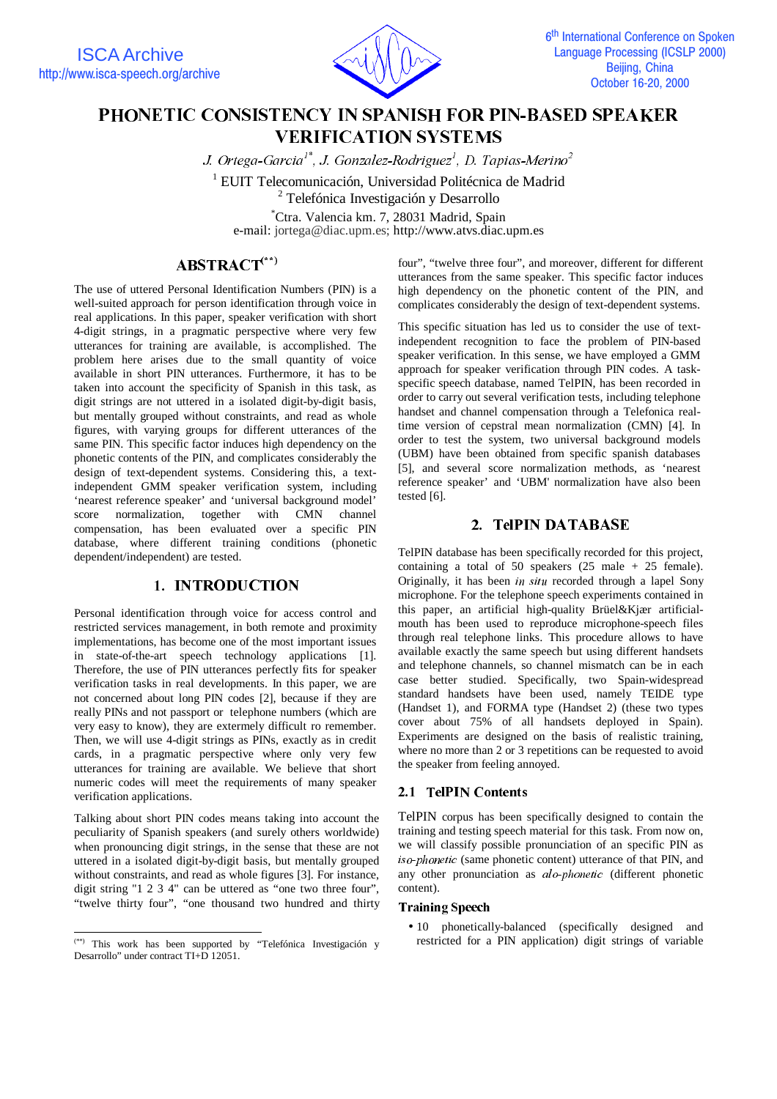

# PHONETIC CONSISTENCY IN SPANISH FOR PIN-BASED SPEAKER **VERIFICATION SYSTEMS**

J. Ortega-Garcia $^{\wr}$ ", J. Gonzalez-Rodriguez $^l$ , D. Tapias-Merino $^2$ 

<sup>1</sup> EUIT Telecomunicación, Universidad Politécnica de Madrid

<sup>2</sup> Telefónica Investigación y Desarrollo

\* Ctra. Valencia km. 7, 28031 Madrid, Spain e-mail: jortega@diac.upm.es; http://www.atvs.diac.upm.es

# $ABSTRACT$ (\*\*)

The use of uttered Personal Identification Numbers (PIN) is a well-suited approach for person identification through voice in real applications. In this paper, speaker verification with short 4-digit strings, in a pragmatic perspective where very few utterances for training are available, is accomplished. The problem here arises due to the small quantity of voice available in short PIN utterances. Furthermore, it has to be taken into account the specificity of Spanish in this task, as digit strings are not uttered in a isolated digit-by-digit basis, but mentally grouped without constraints, and read as whole figures, with varying groups for different utterances of the same PIN. This specific factor induces high dependency on the phonetic contents of the PIN, and complicates considerably the design of text-dependent systems. Considering this, a textindependent GMM speaker verification system, including 'nearest reference speaker' and 'universal background model' score normalization, together with CMN channel compensation, has been evaluated over a specific PIN database, where different training conditions (phonetic dependent/independent) are tested.

### 1. INTRODUCTION

Personal identification through voice for access control and restricted services management, in both remote and proximity implementations, has become one of the most important issues in state-of-the-art speech technology applications [1]. Therefore, the use of PIN utterances perfectly fits for speaker verification tasks in real developments. In this paper, we are not concerned about long PIN codes [2], because if they are really PINs and not passport or telephone numbers (which are very easy to know), they are extermely difficult ro remember. Then, we will use 4-digit strings as PINs, exactly as in credit cards, in a pragmatic perspective where only very few utterances for training are available. We believe that short numeric codes will meet the requirements of many speaker verification applications.

Talking about short PIN codes means taking into account the peculiarity of Spanish speakers (and surely others worldwide) when pronouncing digit strings, in the sense that these are not uttered in a isolated digit-by-digit basis, but mentally grouped without constraints, and read as whole figures [3]. For instance, digit string "1 2 3 4" can be uttered as "one two three four", "twelve thirty four", "one thousand two hundred and thirty

 $\overline{a}$ 

four", "twelve three four", and moreover, different for different utterances from the same speaker. This specific factor induces high dependency on the phonetic content of the PIN, and complicates considerably the design of text-dependent systems.

This specific situation has led us to consider the use of textindependent recognition to face the problem of PIN-based speaker verification. In this sense, we have employed a GMM approach for speaker verification through PIN codes. A taskspecific speech database, named TelPIN, has been recorded in order to carry out several verification tests, including telephone handset and channel compensation through a Telefonica realtime version of cepstral mean normalization (CMN) [4]. In order to test the system, two universal background models (UBM) have been obtained from specific spanish databases [5], and several score normalization methods, as 'nearest reference speaker' and 'UBM' normalization have also been tested [6].

## 2. TeIPIN DATABASE

TelPIN database has been specifically recorded for this project, containing a total of 50 speakers  $(25 \text{ male } + 25 \text{ female}).$ Originally, it has been in situ recorded through a lapel Sony microphone. For the telephone speech experiments contained in this paper, an artificial high-quality Brüel&Kjær artificialmouth has been used to reproduce microphone-speech files through real telephone links. This procedure allows to have available exactly the same speech but using different handsets and telephone channels, so channel mismatch can be in each case better studied. Specifically, two Spain-widespread standard handsets have been used, namely TEIDE type (Handset 1), and FORMA type (Handset 2) (these two types cover about 75% of all handsets deployed in Spain). Experiments are designed on the basis of realistic training, where no more than 2 or 3 repetitions can be requested to avoid the speaker from feeling annoyed.

### 2.1 TelPIN Contents

TelPIN corpus has been specifically designed to contain the training and testing speech material for this task. From now on, we will classify possible pronunciation of an specific PIN as iso-phonetic (same phonetic content) utterance of that PIN, and any other pronunciation as alo-phonetic (different phonetic content).

### **Training Speech**

• 10 phonetically-balanced (specifically designed and restricted for a PIN application) digit strings of variable

<sup>(\*\*)</sup> This work has been supported by "Telefónica Investigación y Desarrollo" under contract TI+D 12051.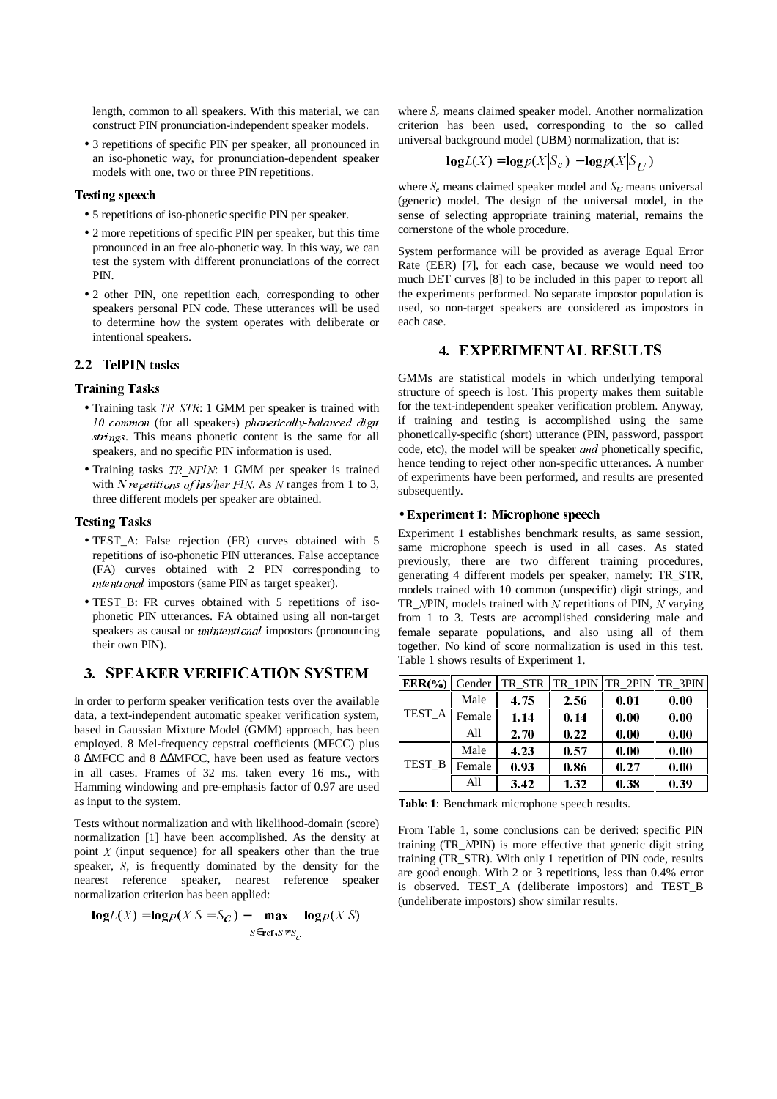length, common to all speakers. With this material, we can construct PIN pronunciation-independent speaker models.

• 3 repetitions of specific PIN per speaker, all pronounced in an iso-phonetic way, for pronunciation-dependent speaker models with one, two or three PIN repetitions.

### Testing speech

- 5 repetitions of iso-phonetic specific PIN per speaker.
- 2 more repetitions of specific PIN per speaker, but this time pronounced in an free alo-phonetic way. In this way, we can test the system with different pronunciations of the correct PIN.
- 2 other PIN, one repetition each, corresponding to other speakers personal PIN code. These utterances will be used to determine how the system operates with deliberate or intentional speakers.

### 2.2 TelPIN tasks

#### Training Tasks

- Training task  $TR$  STR: 1 GMM per speaker is trained with  $10$  common (for all speakers) phonetically-balanced digit strings. This means phonetic content is the same for all speakers, and no specific PIN information is used.
- Training tasks TR\_NPIN: 1 GMM per speaker is trained with N repetitions of his/her PIN. As N ranges from 1 to 3, three different models per speaker are obtained.

#### **Testing Tasks**

- TEST\_A: False rejection (FR) curves obtained with 5 repetitions of iso-phonetic PIN utterances. False acceptance (FA) curves obtained with 2 PIN corresponding to  $intential$  impostors (same PIN as target speaker).
- TEST\_B: FR curves obtained with 5 repetitions of isophonetic PIN utterances. FA obtained using all non-target speakers as causal or *unintentional* impostors (pronouncing their own PIN).

### **3. SPEAKER VERIFICATION SYSTEM**

In order to perform speaker verification tests over the available data, a text-independent automatic speaker verification system, based in Gaussian Mixture Model (GMM) approach, has been employed. 8 Mel-frequency cepstral coefficients (MFCC) plus 8 ∆MFCC and 8 ∆∆MFCC, have been used as feature vectors in all cases. Frames of 32 ms. taken every 16 ms., with Hamming windowing and pre-emphasis factor of 0.97 are used as input to the system.

Tests without normalization and with likelihood-domain (score) normalization [1] have been accomplished. As the density at point  $X$  (input sequence) for all speakers other than the true speaker, S, is frequently dominated by the density for the nearest reference speaker, nearest reference speaker normalization criterion has been applied:

$$
\log L(X) = \log p(X|S = S_C) - \max_{S \in \text{ref}, S \neq S_C} \log p(X|S)
$$

where  $S<sub>c</sub>$  means claimed speaker model. Another normalization criterion has been used, corresponding to the so called universal background model (UBM) normalization, that is:

$$
logL(X) = logp(X|Sc) - logp(X|SU)
$$

where  $S<sub>c</sub>$  means claimed speaker model and  $S<sub>U</sub>$  means universal (generic) model. The design of the universal model, in the sense of selecting appropriate training material, remains the cornerstone of the whole procedure.

System performance will be provided as average Equal Error Rate (EER) [7], for each case, because we would need too much DET curves [8] to be included in this paper to report all the experiments performed. No separate impostor population is used, so non-target speakers are considered as impostors in each case.

### 4. EXPERIMENTAL RESULTS

GMMs are statistical models in which underlying temporal structure of speech is lost. This property makes them suitable for the text-independent speaker verification problem. Anyway, if training and testing is accomplished using the same phonetically-specific (short) utterance (PIN, password, passport code, etc), the model will be speaker and phonetically specific, hence tending to reject other non-specific utterances. A number of experiments have been performed, and results are presented subsequently.

#### • Experiment 1: Microphone speech

Experiment 1 establishes benchmark results, as same session, same microphone speech is used in all cases. As stated previously, there are two different training procedures, generating 4 different models per speaker, namely: TR\_STR, models trained with 10 common (unspecific) digit strings, and TR\_NPIN, models trained with  $N$  repetitions of PIN,  $N$  varying from 1 to 3. Tests are accomplished considering male and female separate populations, and also using all of them together. No kind of score normalization is used in this test. Table 1 shows results of Experiment 1.

| $EER(\% )$ | Gender | TR STR |      | TR 1PIN TR 2PIN TR 3PIN |      |
|------------|--------|--------|------|-------------------------|------|
|            | Male   | 4.75   | 2.56 | 0.01                    | 0.00 |
| TEST_A     | Female | 1.14   | 0.14 | 0.00                    | 0.00 |
|            | All    | 2.70   | 0.22 | 0.00                    | 0.00 |
| TEST_B     | Male   | 4.23   | 0.57 | 0.00                    | 0.00 |
|            | Female | 0.93   | 0.86 | 0.27                    | 0.00 |
|            | All    | 3.42   | 1.32 | 0.38                    | 0.39 |

Table 1: Benchmark microphone speech results.

From Table 1, some conclusions can be derived: specific PIN training (TR\_1PIN) is more effective that generic digit string training (TR\_STR). With only 1 repetition of PIN code, results are good enough. With 2 or 3 repetitions, less than 0.4% error is observed. TEST\_A (deliberate impostors) and TEST\_B (undeliberate impostors) show similar results.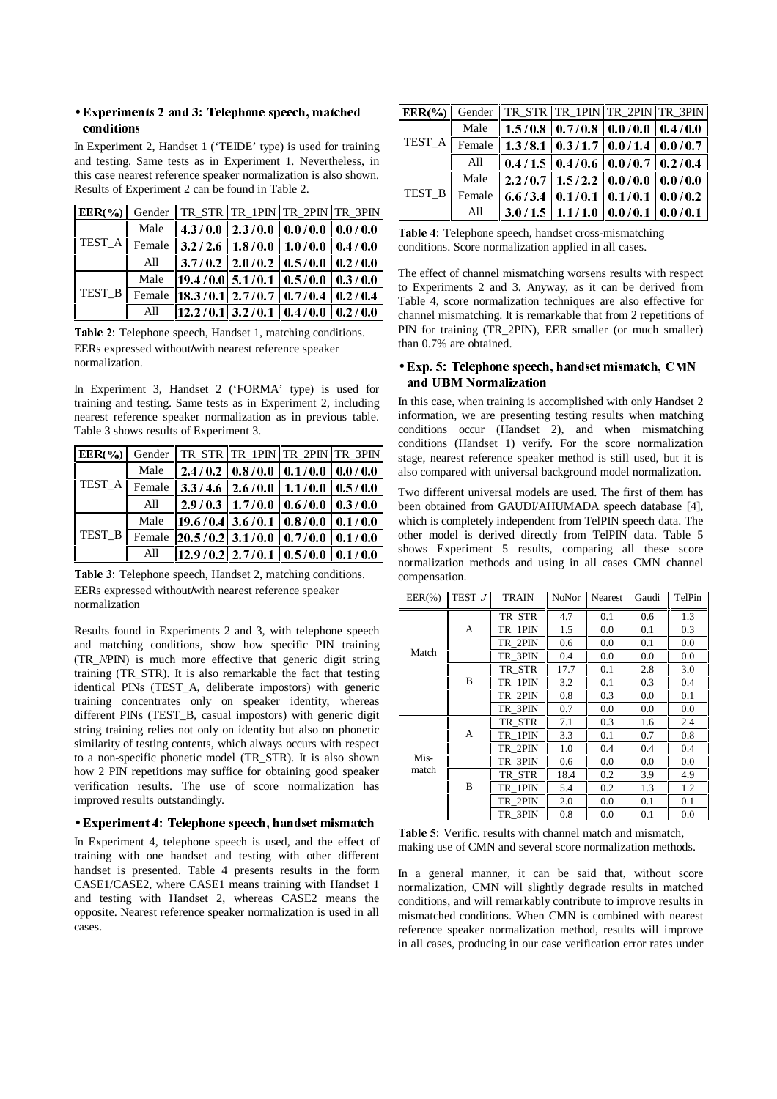### • Experiments 2 and 3: Telephone speech, matched conditions

In Experiment 2, Handset 1 ('TEIDE' type) is used for training and testing. Same tests as in Experiment 1. Nevertheless, in this case nearest reference speaker normalization is also shown. Results of Experiment 2 can be found in Table 2.

| $EER(\% )$ |        | Gender    TR_STR    TR_1PIN    TR_2PIN    TR_3PIN        |                               |                         |         |
|------------|--------|----------------------------------------------------------|-------------------------------|-------------------------|---------|
| TEST_A     | Male   | 4.3/0.0                                                  |                               | 2.3/0.010.0/0.010.0/0.0 |         |
|            | Female | 3.2/2.6                                                  | 1.8/0.0                       | 1.0/0.0                 | 0.4/0.0 |
|            | All    |                                                          | $3.7/0.2$   2.0/0.2   0.5/0.0 |                         | 0.2/0.0 |
| TEST_B     | Male   | $\left  19.4/0.0 \right $ 5.1/0.1   0.5/0.0              |                               |                         | 0.3/0.0 |
|            | Female | $\left  18.3/0.1 \right  2.7/0.7 \left  0.7/0.4 \right $ |                               |                         | 0.2/0.4 |
|            | All    | $\left  12.2/0.1 \right $ 3.2/0.1   0.4/0.0              |                               |                         | 0.2/0.0 |

Table 2: Telephone speech, Handset 1, matching conditions. EERs expressed without/with nearest reference speaker normalization.

In Experiment 3, Handset 2 ('FORMA' type) is used for training and testing. Same tests as in Experiment 2, including nearest reference speaker normalization as in previous table. Table 3 shows results of Experiment 3.

| $EER(\%)$ | Gender |         | TR_STR TR_1PIN TR_2PIN TR_3PIN                                       |                                   |                 |
|-----------|--------|---------|----------------------------------------------------------------------|-----------------------------------|-----------------|
| TEST_A    | Male   | 2.4/0.2 |                                                                      | $0.8/0.0$   $0.1/0.0$   $0.0/0.0$ |                 |
|           | Female | 3.3/4.6 | 2.6/0.0                                                              | 1.1/0.0                           | 0.5/0.0         |
|           | All    | 2.9/0.3 | 1.7/0.0                                                              | 0.6/0.0                           | 0.3/0.0         |
| TEST_B    | Male   |         | $\left  19.6/0.4 \right $ 3.6/0.1   0.8/0.0                          |                                   | $\vert$ 0.1/0.0 |
|           | Female |         | $\left  20.5/0.2 \right $ 3.1/0.0   0.7/0.0                          |                                   | $\vert$ 0.1/0.0 |
|           | All    |         | $\parallel$ 12.9/0.2 2.7/0.1 $\parallel$ 0.5/0.0 $\parallel$ 0.1/0.0 |                                   |                 |

Table 3: Telephone speech, Handset 2, matching conditions. EERs expressed without/with nearest reference speaker normalization

Results found in Experiments 2 and 3, with telephone speech and matching conditions, show how specific PIN training (TR\_1PIN) is much more effective that generic digit string training (TR\_STR). It is also remarkable the fact that testing identical PINs (TEST\_A, deliberate impostors) with generic training concentrates only on speaker identity, whereas different PINs (TEST\_B, casual impostors) with generic digit string training relies not only on identity but also on phonetic similarity of testing contents, which always occurs with respect to a non-specific phonetic model (TR\_STR). It is also shown how 2 PIN repetitions may suffice for obtaining good speaker verification results. The use of score normalization has improved results outstandingly.

#### • Experiment 4: Telephone speech, handset mismatch

In Experiment 4, telephone speech is used, and the effect of training with one handset and testing with other different handset is presented. Table 4 presents results in the form CASE1/CASE2, where CASE1 means training with Handset 1 and testing with Handset 2, whereas CASE2 means the opposite. Nearest reference speaker normalization is used in all cases.

| $EER(\%)$ |        |         | Gender    TR_STR    TR_1PIN    TR_2PIN    TR_3PIN |  |
|-----------|--------|---------|---------------------------------------------------|--|
| TEST_A    | Male   |         | $1.5/0.8$   0.7/0.8   0.0/0.0   0.4/0.0           |  |
|           | Female |         | $1.3/8.1 \mid 0.3/1.7 \mid 0.0/1.4 \mid 0.0/0.7$  |  |
|           | All    | 0.4/1.5 | $\vert 0.4/0.6 \vert 0.0/0.7 \vert 0.2/0.4$       |  |
| TEST B    | Male   |         | $2.2/0.7$   1.5/2.2   0.0/0.0   0.0/0.0           |  |
|           | Female | 6.6/3.4 | $\mid 0.1/0.1 \mid 0.1/0.1 \mid 0.0/0.2 \mid$     |  |
|           | All    |         | $3.0/1.5$   $1.1/1.0$   $0.0/0.1$   $0.0/0.1$     |  |

Table 4: Telephone speech, handset cross-mismatching conditions. Score normalization applied in all cases.

The effect of channel mismatching worsens results with respect to Experiments 2 and 3. Anyway, as it can be derived from Table 4, score normalization techniques are also effective for channel mismatching. It is remarkable that from 2 repetitions of PIN for training (TR\_2PIN), EER smaller (or much smaller) than 0.7% are obtained.

### • Exp. 5: Telephone speech, handset mismatch, CMN and UBM Normalization

In this case, when training is accomplished with only Handset 2 information, we are presenting testing results when matching conditions occur (Handset 2), and when mismatching conditions (Handset 1) verify. For the score normalization stage, nearest reference speaker method is still used, but it is also compared with universal background model normalization.

Two different universal models are used. The first of them has been obtained from GAUDI/AHUMADA speech database [4], which is completely independent from TelPIN speech data. The other model is derived directly from TelPIN data. Table 5 shows Experiment 5 results, comparing all these score normalization methods and using in all cases CMN channel compensation.

| $EER(\% )$    | TEST J | TRAIN   | NoNor | <b>Nearest</b> | Gaudi | TelPin |
|---------------|--------|---------|-------|----------------|-------|--------|
|               |        | TR STR  | 4.7   | 0.1            | 0.6   | 1.3    |
|               | A      | TR 1PIN | 1.5   | 0.0            | 0.1   | 0.3    |
|               |        | TR 2PIN | 0.6   | 0.0            | 0.1   | 0.0    |
| Match         |        | TR 3PIN | 0.4   | 0.0            | 0.0   | 0.0    |
|               |        | TR STR  | 17.7  | 0.1            | 2.8   | 3.0    |
|               | B      | TR 1PIN | 3.2   | 0.1            | 0.3   | 0.4    |
|               |        | TR 2PIN | 0.8   | 0.3            | 0.0   | 0.1    |
|               |        | TR 3PIN | 0.7   | 0.0            | 0.0   | 0.0    |
| Mis-<br>match |        | TR STR  | 7.1   | 0.3            | 1.6   | 2.4    |
|               | А      | TR 1PIN | 3.3   | 0.1            | 0.7   | 0.8    |
|               |        | TR 2PIN | 1.0   | 0.4            | 0.4   | 0.4    |
|               |        | TR 3PIN | 0.6   | 0.0            | 0.0   | 0.0    |
|               |        | TR STR  | 18.4  | 0.2            | 3.9   | 4.9    |
|               | B      | TR 1PIN | 5.4   | 0.2            | 1.3   | 1.2    |
|               |        | TR 2PIN | 2.0   | 0.0            | 0.1   | 0.1    |
|               |        | TR 3PIN | 0.8   | 0.0            | 0.1   | 0.0    |

Table 5: Verific. results with channel match and mismatch, making use of CMN and several score normalization methods.

In a general manner, it can be said that, without score normalization, CMN will slightly degrade results in matched conditions, and will remarkably contribute to improve results in mismatched conditions. When CMN is combined with nearest reference speaker normalization method, results will improve in all cases, producing in our case verification error rates under